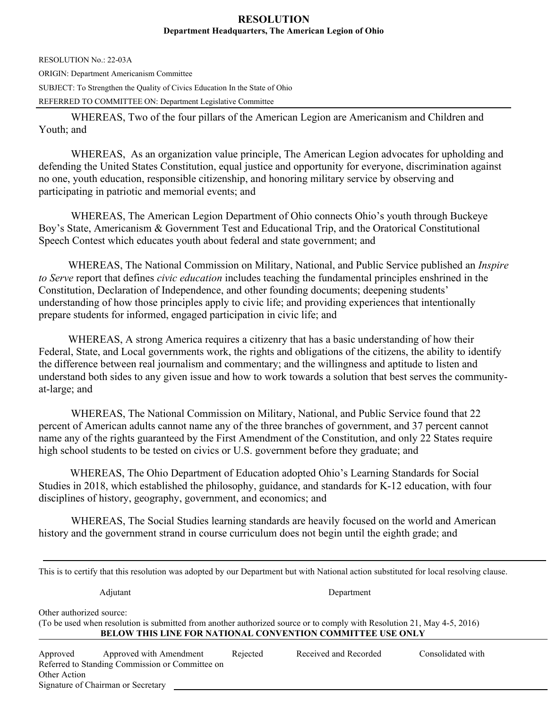## **RESOLUTION Department Headquarters, The American Legion of Ohio**

RESOLUTION No.: 22-03A ORIGIN: Department Americanism Committee SUBJECT: To Strengthen the Quality of Civics Education In the State of Ohio REFERRED TO COMMITTEE ON: Department Legislative Committee

WHEREAS, Two of the four pillars of the American Legion are Americanism and Children and Youth; and

WHEREAS, As an organization value principle, The American Legion advocates for upholding and defending the United States Constitution, equal justice and opportunity for everyone, discrimination against no one, youth education, responsible citizenship, and honoring military service by observing and participating in patriotic and memorial events; and

WHEREAS, The American Legion Department of Ohio connects Ohio's youth through Buckeye Boy's State, Americanism & Government Test and Educational Trip, and the Oratorical Constitutional Speech Contest which educates youth about federal and state government; and

 WHEREAS, The National Commission on Military, National, and Public Service published an *Inspire to Serve* report that defines *civic education* includes teaching the fundamental principles enshrined in the Constitution, Declaration of Independence, and other founding documents; deepening students' understanding of how those principles apply to civic life; and providing experiences that intentionally prepare students for informed, engaged participation in civic life; and

 WHEREAS, A strong America requires a citizenry that has a basic understanding of how their Federal, State, and Local governments work, the rights and obligations of the citizens, the ability to identify the difference between real journalism and commentary; and the willingness and aptitude to listen and understand both sides to any given issue and how to work towards a solution that best serves the communityat-large; and

WHEREAS, The National Commission on Military, National, and Public Service found that 22 percent of American adults cannot name any of the three branches of government, and 37 percent cannot name any of the rights guaranteed by the First Amendment of the Constitution, and only 22 States require high school students to be tested on civics or U.S. government before they graduate; and

 WHEREAS, The Ohio Department of Education adopted Ohio's Learning Standards for Social Studies in 2018, which established the philosophy, guidance, and standards for K-12 education, with four disciplines of history, geography, government, and economics; and

 WHEREAS, The Social Studies learning standards are heavily focused on the world and American history and the government strand in course curriculum does not begin until the eighth grade; and

| This is to certify that this resolution was adopted by our Department but with National action substituted for local resolving clause.                                                                                   |                                                                            |          |                       |                   |  |  |  |  |  |
|--------------------------------------------------------------------------------------------------------------------------------------------------------------------------------------------------------------------------|----------------------------------------------------------------------------|----------|-----------------------|-------------------|--|--|--|--|--|
|                                                                                                                                                                                                                          | Adjutant                                                                   |          | Department            |                   |  |  |  |  |  |
| Other authorized source:<br>(To be used when resolution is submitted from another authorized source or to comply with Resolution 21, May 4-5, 2016)<br><b>BELOW THIS LINE FOR NATIONAL CONVENTION COMMITTEE USE ONLY</b> |                                                                            |          |                       |                   |  |  |  |  |  |
| Approved<br>Other Action                                                                                                                                                                                                 | Approved with Amendment<br>Referred to Standing Commission or Committee on | Rejected | Received and Recorded | Consolidated with |  |  |  |  |  |

Signature of Chairman or Secretary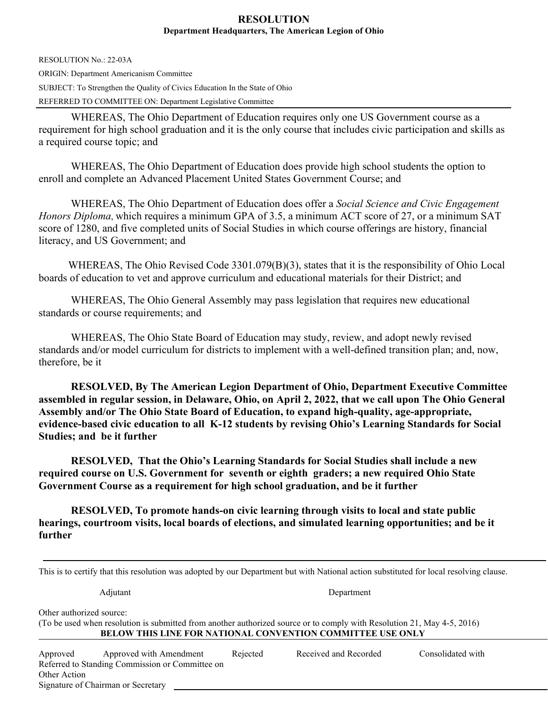## **RESOLUTION Department Headquarters, The American Legion of Ohio**

RESOLUTION No.: 22-03A ORIGIN: Department Americanism Committee SUBJECT: To Strengthen the Quality of Civics Education In the State of Ohio REFERRED TO COMMITTEE ON: Department Legislative Committee

WHEREAS, The Ohio Department of Education requires only one US Government course as a requirement for high school graduation and it is the only course that includes civic participation and skills as a required course topic; and

WHEREAS, The Ohio Department of Education does provide high school students the option to enroll and complete an Advanced Placement United States Government Course; and

WHEREAS, The Ohio Department of Education does offer a *Social Science and Civic Engagement Honors Diploma*, which requires a minimum GPA of 3.5, a minimum ACT score of 27, or a minimum SAT score of 1280, and five completed units of Social Studies in which course offerings are history, financial literacy, and US Government; and

 WHEREAS, The Ohio Revised Code 3301.079(B)(3), states that it is the responsibility of Ohio Local boards of education to vet and approve curriculum and educational materials for their District; and

WHEREAS, The Ohio General Assembly may pass legislation that requires new educational standards or course requirements; and

WHEREAS, The Ohio State Board of Education may study, review, and adopt newly revised standards and/or model curriculum for districts to implement with a well-defined transition plan; and, now, therefore, be it

**RESOLVED, By The American Legion Department of Ohio, Department Executive Committee assembled in regular session, in Delaware, Ohio, on April 2, 2022, that we call upon The Ohio General Assembly and/or The Ohio State Board of Education, to expand high-quality, age-appropriate, evidence-based civic education to all K-12 students by revising Ohio's Learning Standards for Social Studies; and be it further** 

**RESOLVED, That the Ohio's Learning Standards for Social Studies shall include a new required course on U.S. Government for seventh or eighth graders; a new required Ohio State Government Course as a requirement for high school graduation, and be it further** 

**RESOLVED, To promote hands-on civic learning through visits to local and state public hearings, courtroom visits, local boards of elections, and simulated learning opportunities; and be it further** 

| This is to certify that this resolution was adopted by our Department but with National action substituted for local resolving clause.                                                                                   |            |                       |                   |  |  |  |  |  |
|--------------------------------------------------------------------------------------------------------------------------------------------------------------------------------------------------------------------------|------------|-----------------------|-------------------|--|--|--|--|--|
| Adjutant                                                                                                                                                                                                                 | Department |                       |                   |  |  |  |  |  |
| Other authorized source:<br>(To be used when resolution is submitted from another authorized source or to comply with Resolution 21, May 4-5, 2016)<br><b>BELOW THIS LINE FOR NATIONAL CONVENTION COMMITTEE USE ONLY</b> |            |                       |                   |  |  |  |  |  |
| Approved with Amendment<br>Approved<br>Referred to Standing Commission or Committee on<br>Other Action<br>Signature of Chairman or Secretary                                                                             | Rejected   | Received and Recorded | Consolidated with |  |  |  |  |  |